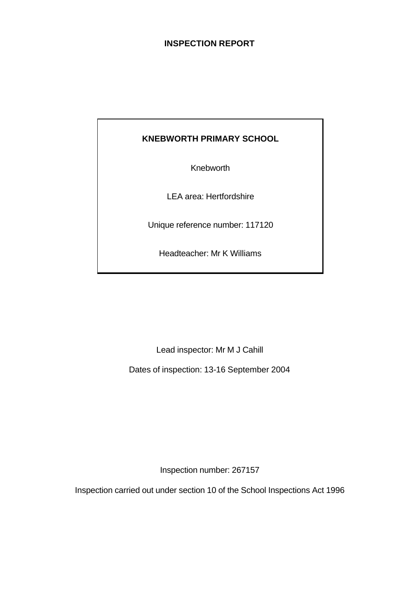### **INSPECTION REPORT**

# **KNEBWORTH PRIMARY SCHOOL**

Knebworth

LEA area: Hertfordshire

Unique reference number: 117120

Headteacher: Mr K Williams

Lead inspector: Mr M J Cahill

Dates of inspection: 13-16 September 2004

Inspection number: 267157

Inspection carried out under section 10 of the School Inspections Act 1996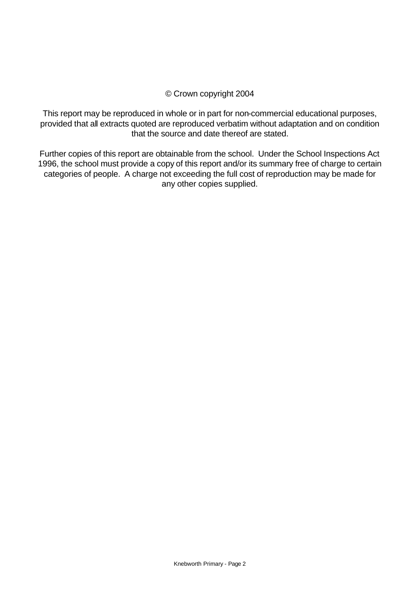### © Crown copyright 2004

This report may be reproduced in whole or in part for non-commercial educational purposes, provided that all extracts quoted are reproduced verbatim without adaptation and on condition that the source and date thereof are stated.

Further copies of this report are obtainable from the school. Under the School Inspections Act 1996, the school must provide a copy of this report and/or its summary free of charge to certain categories of people. A charge not exceeding the full cost of reproduction may be made for any other copies supplied.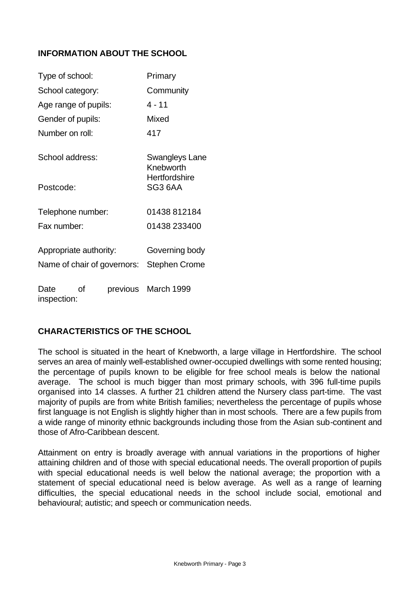### **INFORMATION ABOUT THE SCHOOL**

| Type of school:             |    | Primary              |                             |  |
|-----------------------------|----|----------------------|-----------------------------|--|
| School category:            |    | Community            |                             |  |
| Age range of pupils:        |    | 4 - 11               |                             |  |
| Gender of pupils:           |    |                      | Mixed                       |  |
| Number on roll:             |    |                      | 417                         |  |
| School address:             |    |                      | Swangleys Lane<br>Knebworth |  |
| Postcode:                   |    |                      | Hertfordshire<br>SG3 6AA    |  |
| Telephone number:           |    |                      | 01438 812184                |  |
| Fax number:                 |    |                      | 01438 233400                |  |
| Appropriate authority:      |    |                      | Governing body              |  |
| Name of chair of governors: |    | <b>Stephen Crome</b> |                             |  |
| Date<br>inspection:         | οf |                      | previous March 1999         |  |

### **CHARACTERISTICS OF THE SCHOOL**

The school is situated in the heart of Knebworth, a large village in Hertfordshire. The school serves an area of mainly well-established owner-occupied dwellings with some rented housing; the percentage of pupils known to be eligible for free school meals is below the national average.The school is much bigger than most primary schools, with 396 full-time pupils organised into 14 classes. A further 21 children attend the Nursery class part-time. The vast majority of pupils are from white British families; nevertheless the percentage of pupils whose first language is not English is slightly higher than in most schools.There are a few pupils from a wide range of minority ethnic backgrounds including those from the Asian sub-continent and those of Afro-Caribbean descent.

Attainment on entry is broadly average with annual variations in the proportions of higher attaining children and of those with special educational needs. The overall proportion of pupils with special educational needs is well below the national average; the proportion with a statement of special educational need is below average. As well as a range of learning difficulties, the special educational needs in the school include social, emotional and behavioural; autistic; and speech or communication needs.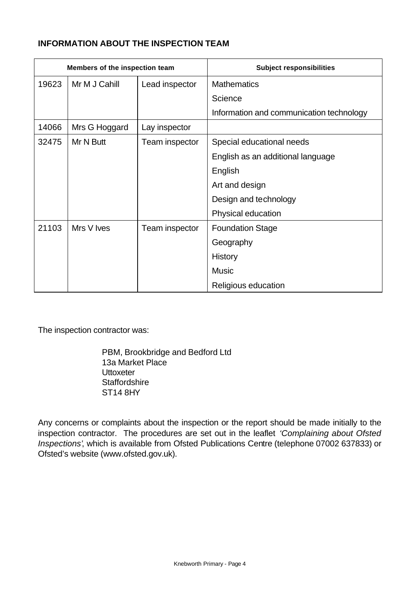## **INFORMATION ABOUT THE INSPECTION TEAM**

| Members of the inspection team |               |                | <b>Subject responsibilities</b>          |  |
|--------------------------------|---------------|----------------|------------------------------------------|--|
| 19623                          | Mr M J Cahill | Lead inspector | <b>Mathematics</b>                       |  |
|                                |               |                | Science                                  |  |
|                                |               |                | Information and communication technology |  |
| 14066                          | Mrs G Hoggard | Lay inspector  |                                          |  |
| 32475                          | Mr N Butt     | Team inspector | Special educational needs                |  |
|                                |               |                | English as an additional language        |  |
|                                |               |                | English                                  |  |
|                                |               |                | Art and design                           |  |
|                                |               |                | Design and technology                    |  |
|                                |               |                | Physical education                       |  |
| 21103                          | Mrs V Ives    | Team inspector | <b>Foundation Stage</b>                  |  |
|                                |               |                | Geography                                |  |
|                                |               |                | <b>History</b>                           |  |
|                                |               |                | <b>Music</b>                             |  |
|                                |               |                | Religious education                      |  |

The inspection contractor was:

PBM, Brookbridge and Bedford Ltd 13a Market Place **Uttoxeter Staffordshire** ST14 8HY

Any concerns or complaints about the inspection or the report should be made initially to the inspection contractor. The procedures are set out in the leaflet *'Complaining about Ofsted Inspections'*, which is available from Ofsted Publications Centre (telephone 07002 637833) or Ofsted's website (www.ofsted.gov.uk).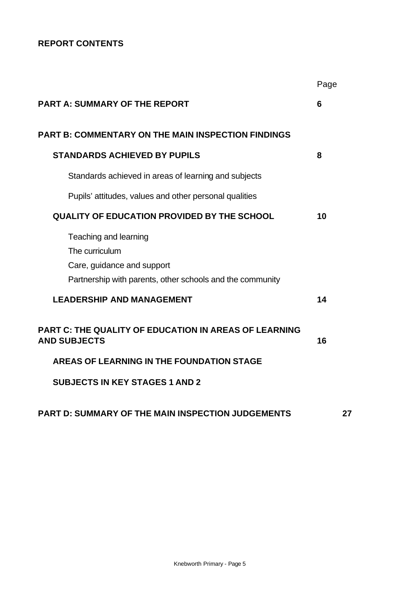## **REPORT CONTENTS**

|                                                                                                                                    | Page |    |
|------------------------------------------------------------------------------------------------------------------------------------|------|----|
| <b>PART A: SUMMARY OF THE REPORT</b>                                                                                               | 6    |    |
| <b>PART B: COMMENTARY ON THE MAIN INSPECTION FINDINGS</b>                                                                          |      |    |
| <b>STANDARDS ACHIEVED BY PUPILS</b>                                                                                                | 8    |    |
| Standards achieved in areas of learning and subjects                                                                               |      |    |
| Pupils' attitudes, values and other personal qualities                                                                             |      |    |
| <b>QUALITY OF EDUCATION PROVIDED BY THE SCHOOL</b>                                                                                 | 10   |    |
| Teaching and learning<br>The curriculum<br>Care, guidance and support<br>Partnership with parents, other schools and the community |      |    |
| <b>LEADERSHIP AND MANAGEMENT</b>                                                                                                   | 14   |    |
| <b>PART C: THE QUALITY OF EDUCATION IN AREAS OF LEARNING</b><br><b>AND SUBJECTS</b>                                                | 16   |    |
| <b>AREAS OF LEARNING IN THE FOUNDATION STAGE</b>                                                                                   |      |    |
| <b>SUBJECTS IN KEY STAGES 1 AND 2</b>                                                                                              |      |    |
| <b>PART D: SUMMARY OF THE MAIN INSPECTION JUDGEMENTS</b>                                                                           |      | 27 |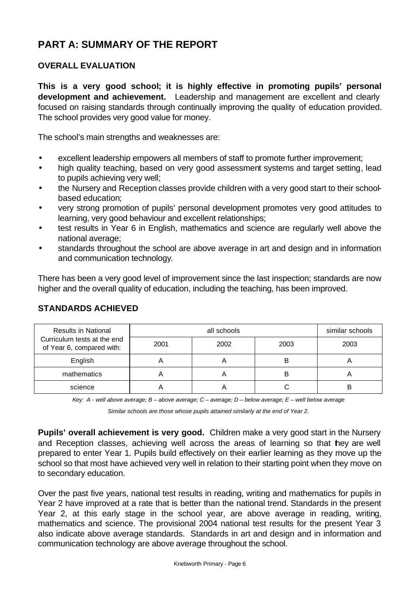# **PART A: SUMMARY OF THE REPORT**

### **OVERALL EVALUATION**

**This is a very good school; it is highly effective in promoting pupils' personal development and achievement.** Leadership and management are excellent and clearly focused on raising standards through continually improving the quality of education provided. The school provides very good value for money.

The school's main strengths and weaknesses are:

- excellent leadership empowers all members of staff to promote further improvement;
- high quality teaching, based on very good assessment systems and target setting, lead to pupils achieving very well;
- the Nursery and Reception classes provide children with a very good start to their schoolbased education;
- very strong promotion of pupils' personal development promotes very good attitudes to learning, very good behaviour and excellent relationships;
- test results in Year 6 in English, mathematics and science are regularly well above the national average;
- standards throughout the school are above average in art and design and in information and communication technology.

There has been a very good level of improvement since the last inspection; standards are now higher and the overall quality of education, including the teaching, has been improved.

| <b>Results in National</b>                               |      | similar schools |      |      |
|----------------------------------------------------------|------|-----------------|------|------|
| Curriculum tests at the end<br>of Year 6, compared with: | 2001 | 2002            | 2003 | 2003 |
| English                                                  |      |                 | B    |      |
| mathematics                                              |      |                 | В    |      |
| science                                                  |      |                 |      |      |

### **STANDARDS ACHIEVED**

*Key: A - well above average; B – above average; C – average; D – below average; E – well below average*

*Similar schools are those whose pupils attained similarly at the end of Year 2.*

**Pupils' overall achievement is very good.** Children make a very good start in the Nursery and Reception classes, achieving well across the areas of learning so that they are well prepared to enter Year 1. Pupils build effectively on their earlier learning as they move up the school so that most have achieved very well in relation to their starting point when they move on to secondary education.

Over the past five years, national test results in reading, writing and mathematics for pupils in Year 2 have improved at a rate that is better than the national trend. Standards in the present Year 2, at this early stage in the school year, are above average in reading, writing, mathematics and science. The provisional 2004 national test results for the present Year 3 also indicate above average standards. Standards in art and design and in information and communication technology are above average throughout the school.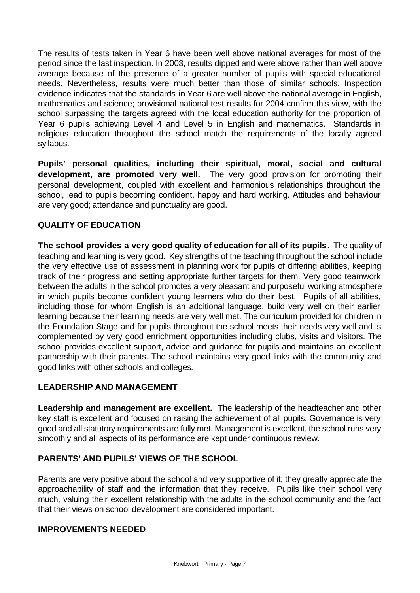The results of tests taken in Year 6 have been well above national averages for most of the period since the last inspection. In 2003, results dipped and were above rather than well above average because of the presence of a greater number of pupils with special educational needs. Nevertheless, results were much better than those of similar schools. Inspection evidence indicates that the standards in Year 6 are well above the national average in English, mathematics and science; provisional national test results for 2004 confirm this view, with the school surpassing the targets agreed with the local education authority for the proportion of Year 6 pupils achieving Level 4 and Level 5 in English and mathematics.Standards in religious education throughout the school match the requirements of the locally agreed syllabus.

**Pupils' personal qualities, including their spiritual, moral, social and cultural development, are promoted very well.**The very good provision for promoting their personal development, coupled with excellent and harmonious relationships throughout the school, lead to pupils becoming confident, happy and hard working. Attitudes and behaviour are very good; attendance and punctuality are good.

### **QUALITY OF EDUCATION**

**The school provides a very good quality of education for all of its pupils**. The quality of teaching and learning is very good.Key strengths of the teaching throughout the school include the very effective use of assessment in planning work for pupils of differing abilities, keeping track of their progress and setting appropriate further targets for them. Very good teamwork between the adults in the school promotes a very pleasant and purposeful working atmosphere in which pupils become confident young learners who do their best. Pupils of all abilities, including those for whom English is an additional language, build very well on their earlier learning because their learning needs are very well met. The curriculum provided for children in the Foundation Stage and for pupils throughout the school meets their needs very well and is complemented by very good enrichment opportunities including clubs, visits and visitors. The school provides excellent support, advice and guidance for pupils and maintains an excellent partnership with their parents. The school maintains very good links with the community and good links with other schools and colleges*.*

### **LEADERSHIP AND MANAGEMENT**

**Leadership and management are excellent.** The leadership of the headteacher and other key staff is excellent and focused on raising the achievement of all pupils. Governance is very good and all statutory requirements are fully met. Management is excellent, the school runs very smoothly and all aspects of its performance are kept under continuous review.

### **PARENTS' AND PUPILS' VIEWS OF THE SCHOOL**

Parents are very positive about the school and very supportive of it; they greatly appreciate the approachability of staff and the information that they receive. Pupils like their school very much, valuing their excellent relationship with the adults in the school community and the fact that their views on school development are considered important.

### **IMPROVEMENTS NEEDED**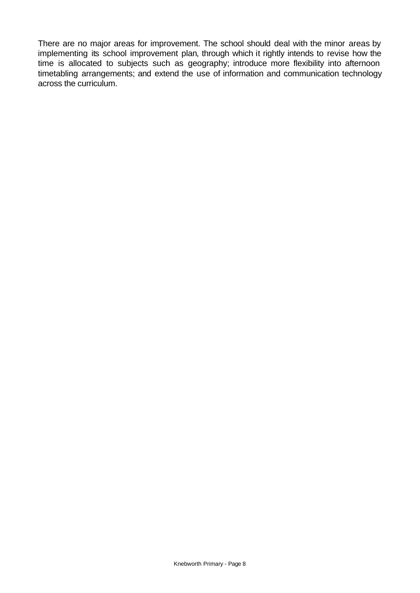There are no major areas for improvement. The school should deal with the minor areas by implementing its school improvement plan, through which it rightly intends to revise how the time is allocated to subjects such as geography; introduce more flexibility into afternoon timetabling arrangements; and extend the use of information and communication technology across the curriculum.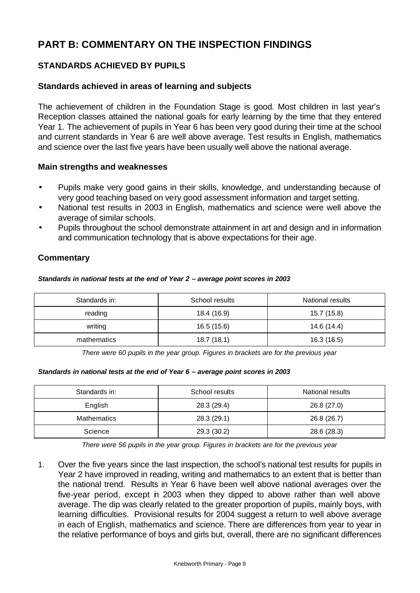# **PART B: COMMENTARY ON THE INSPECTION FINDINGS**

## **STANDARDS ACHIEVED BY PUPILS**

### **Standards achieved in areas of learning and subjects**

The achievement of children in the Foundation Stage is good. Most children in last year's Reception classes attained the national goals for early learning by the time that they entered Year 1. The achievement of pupils in Year 6 has been very good during their time at the school and current standards in Year 6 are well above average. Test results in English, mathematics and science over the last five years have been usually well above the national average.

#### **Main strengths and weaknesses**

- Pupils make very good gains in their skills, knowledge, and understanding because of very good teaching based on very good assessment information and target setting.
- National test results in 2003 in English, mathematics and science were well above the average of similar schools.
- Pupils throughout the school demonstrate attainment in art and design and in information and communication technology that is above expectations for their age.

### **Commentary**

#### *Standards in national tests at the end of Year 2 – average point scores in 2003*

| Standards in: | School results | National results |
|---------------|----------------|------------------|
| reading       | 18.4 (16.9)    | 15.7 (15.8)      |
| writing       | 16.5 (15.6)    | 14.6 (14.4)      |
| mathematics   | 18.7(18.1)     | 16.3 (16.5)      |

*There were 60 pupils in the year group. Figures in brackets are for the previous year* 

#### *Standards in national tests at the end of Year 6 – average point scores in 2003*

| Standards in:      | School results | National results |
|--------------------|----------------|------------------|
| English            | 28.3 (29.4)    | 26.8 (27.0)      |
| <b>Mathematics</b> | 28.3(29.1)     | 26.8 (26.7)      |
| Science            | 29.3 (30.2)    | 28.6 (28.3)      |

*There were 56 pupils in the year group. Figures in brackets are for the previous year*

1. Over the five years since the last inspection, the school's national test results for pupils in Year 2 have improved in reading, writing and mathematics to an extent that is better than the national trend.Results in Year 6 have been well above national averages over the five-year period, except in 2003 when they dipped to above rather than well above average. The dip was clearly related to the greater proportion of pupils, mainly boys, with learning difficulties.Provisional results for 2004 suggest a return to well above average in each of English, mathematics and science. There are differences from year to year in the relative performance of boys and girls but, overall, there are no significant differences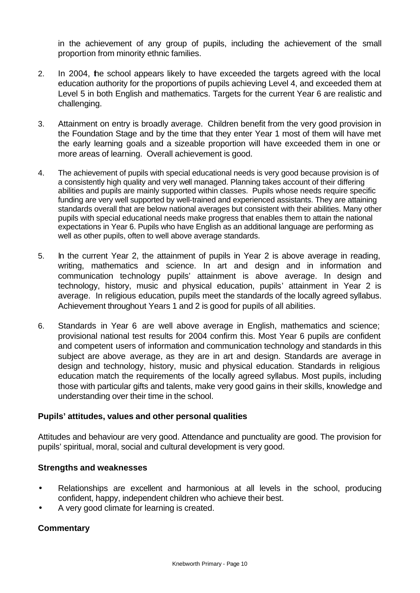in the achievement of any group of pupils, including the achievement of the small proportion from minority ethnic families.

- 2. In 2004, the school appears likely to have exceeded the targets agreed with the local education authority for the proportions of pupils achieving Level 4, and exceeded them at Level 5 in both English and mathematics. Targets for the current Year 6 are realistic and challenging.
- 3. Attainment on entry is broadly average.Children benefit from the very good provision in the Foundation Stage and by the time that they enter Year 1 most of them will have met the early learning goals and a sizeable proportion will have exceeded them in one or more areas of learning. Overall achievement is good.
- 4. The achievement of pupils with special educational needs is very good because provision is of a consistently high quality and very well managed. Planning takes account of their differing abilities and pupils are mainly supported within classes. Pupils whose needs require specific funding are very well supported by well-trained and experienced assistants. They are attaining standards overall that are below national averages but consistent with their abilities. Many other pupils with special educational needs make progress that enables them to attain the national expectations in Year 6. Pupils who have English as an additional language are performing as well as other pupils, often to well above average standards.
- 5. In the current Year 2, the attainment of pupils in Year 2 is above average in reading, writing, mathematics and science. In art and design and in information and communication technology pupils' attainment is above average. In design and technology, history, music and physical education, pupils' attainment in Year 2 is average.In religious education, pupils meet the standards of the locally agreed syllabus. Achievement throughout Years 1 and 2 is good for pupils of all abilities.
- 6. Standards in Year 6 are well above average in English, mathematics and science; provisional national test results for 2004 confirm this. Most Year 6 pupils are confident and competent users of information and communication technology and standards in this subject are above average, as they are in art and design. Standards are average in design and technology, history, music and physical education. Standards in religious education match the requirements of the locally agreed syllabus. Most pupils, including those with particular gifts and talents, make very good gains in their skills, knowledge and understanding over their time in the school.

### **Pupils' attitudes, values and other personal qualities**

Attitudes and behaviour are very good. Attendance and punctuality are good. The provision for pupils' spiritual, moral, social and cultural development is very good.

#### **Strengths and weaknesses**

- Relationships are excellent and harmonious at all levels in the school, producing confident, happy, independent children who achieve their best.
- A very good climate for learning is created.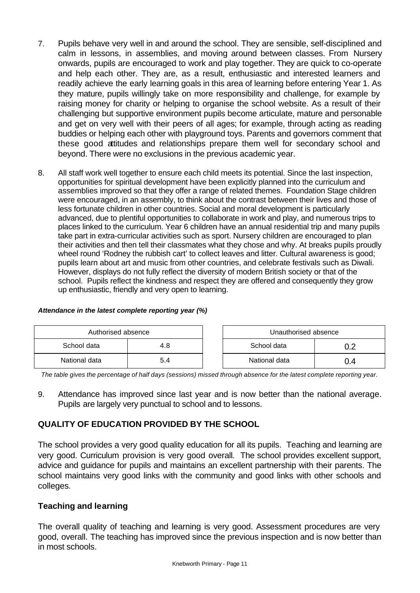- 7. Pupils behave very well in and around the school. They are sensible, self-disciplined and calm in lessons, in assemblies, and moving around between classes. From Nursery onwards, pupils are encouraged to work and play together. They are quick to co-operate and help each other. They are, as a result, enthusiastic and interested learners and readily achieve the early learning goals in this area of learning before entering Year 1. As they mature, pupils willingly take on more responsibility and challenge, for example by raising money for charity or helping to organise the school website. As a result of their challenging but supportive environment pupils become articulate, mature and personable and get on very well with their peers of all ages; for example, through acting as reading buddies or helping each other with playground toys. Parents and governors comment that these good attitudes and relationships prepare them well for secondary school and beyond. There were no exclusions in the previous academic year.
- 8. All staff work well together to ensure each child meets its potential. Since the last inspection, opportunities for spiritual development have been explicitly planned into the curriculum and assemblies improved so that they offer a range of related themes. Foundation Stage children were encouraged, in an assembly, to think about the contrast between their lives and those of less fortunate children in other countries. Social and moral development is particularly advanced, due to plentiful opportunities to collaborate in work and play, and numerous trips to places linked to the curriculum. Year 6 children have an annual residential trip and many pupils take part in extra-curricular activities such as sport. Nursery children are encouraged to plan their activities and then tell their classmates what they chose and why. At breaks pupils proudly wheel round 'Rodney the rubbish cart' to collect leaves and litter. Cultural awareness is good; pupils learn about art and music from other countries, and celebrate festivals such as Diwali. However, displays do not fully reflect the diversity of modern British society or that of the school. Pupils reflect the kindness and respect they are offered and consequently they grow up enthusiastic, friendly and very open to learning.

| Authorised absence |     | Unauthorised absence |  |
|--------------------|-----|----------------------|--|
| School data        | 4.8 | School data          |  |
| National data      | 5.4 | National data        |  |

#### *Attendance in the latest complete reporting year (%)*

*The table gives the percentage of half days (sessions) missed through absence for the latest complete reporting year.*

9. Attendance has improved since last year and is now better than the national average. Pupils are largely very punctual to school and to lessons.

### **QUALITY OF EDUCATION PROVIDED BY THE SCHOOL**

The school provides a very good quality education for all its pupils. Teaching and learning are very good. Curriculum provision is very good overall*.* The school provides excellent support, advice and guidance for pupils and maintains an excellent partnership with their parents. The school maintains very good links with the community and good links with other schools and colleges*.* 

### **Teaching and learning**

The overall quality of teaching and learning is very good. Assessment procedures are very good, overall. The teaching has improved since the previous inspection and is now better than in most schools.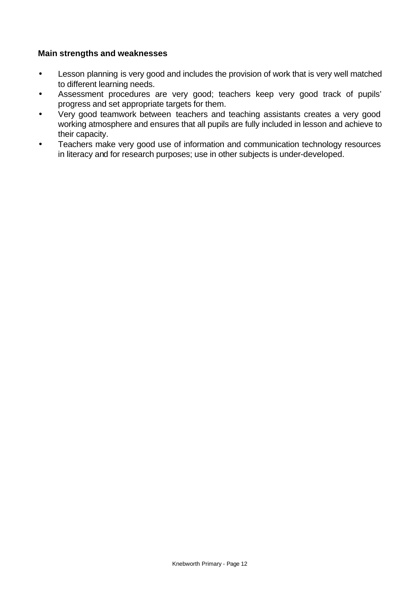#### **Main strengths and weaknesses**

- Lesson planning is very good and includes the provision of work that is very well matched to different learning needs.
- Assessment procedures are very good; teachers keep very good track of pupils' progress and set appropriate targets for them.
- Very good teamwork between teachers and teaching assistants creates a very good working atmosphere and ensures that all pupils are fully included in lesson and achieve to their capacity.
- Teachers make very good use of information and communication technology resources in literacy and for research purposes; use in other subjects is under-developed.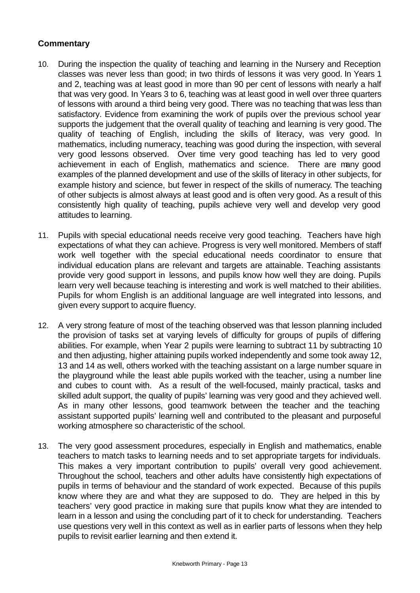- 10. During the inspection the quality of teaching and learning in the Nursery and Reception classes was never less than good; in two thirds of lessons it was very good. In Years 1 and 2, teaching was at least good in more than 90 per cent of lessons with nearly a half that was very good. In Years 3 to 6, teaching was at least good in well over three quarters of lessons with around a third being very good. There was no teaching that was less than satisfactory. Evidence from examining the work of pupils over the previous school year supports the judgement that the overall quality of teaching and learning is very good. The quality of teaching of English, including the skills of literacy, was very good. In mathematics, including numeracy, teaching was good during the inspection, with several very good lessons observed. Over time very good teaching has led to very good achievement in each of English, mathematics and science. There are many good examples of the planned development and use of the skills of literacy in other subjects, for example history and science, but fewer in respect of the skills of numeracy*.* The teaching of other subjects is almost always at least good and is often very good. As a result of this consistently high quality of teaching, pupils achieve very well and develop very good attitudes to learning.
- 11. Pupils with special educational needs receive very good teaching. Teachers have high expectations of what they can achieve. Progress is very well monitored. Members of staff work well together with the special educational needs coordinator to ensure that individual education plans are relevant and targets are attainable. Teaching assistants provide very good support in lessons, and pupils know how well they are doing. Pupils learn very well because teaching is interesting and work is well matched to their abilities. Pupils for whom English is an additional language are well integrated into lessons, and given every support to acquire fluency.
- 12. A very strong feature of most of the teaching observed was that lesson planning included the provision of tasks set at varying levels of difficulty for groups of pupils of differing abilities. For example, when Year 2 pupils were learning to subtract 11 by subtracting 10 and then adjusting, higher attaining pupils worked independently and some took away 12, 13 and 14 as well, others worked with the teaching assistant on a large number square in the playground while the least able pupils worked with the teacher, using a number line and cubes to count with. As a result of the well-focused, mainly practical, tasks and skilled adult support, the quality of pupils' learning was very good and they achieved well. As in many other lessons, good teamwork between the teacher and the teaching assistant supported pupils' learning well and contributed to the pleasant and purposeful working atmosphere so characteristic of the school.
- 13. The very good assessment procedures, especially in English and mathematics, enable teachers to match tasks to learning needs and to set appropriate targets for individuals. This makes a very important contribution to pupils' overall very good achievement. Throughout the school, teachers and other adults have consistently high expectations of pupils in terms of behaviour and the standard of work expected. Because of this pupils know where they are and what they are supposed to do. They are helped in this by teachers' very good practice in making sure that pupils know what they are intended to learn in a lesson and using the concluding part of it to check for understanding. Teachers use questions very well in this context as well as in earlier parts of lessons when they help pupils to revisit earlier learning and then extend it.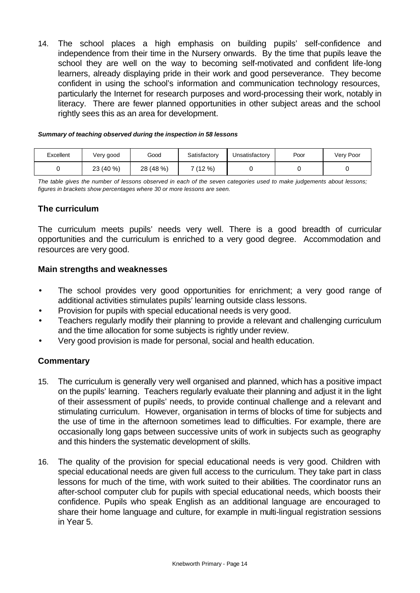14. The school places a high emphasis on building pupils' self-confidence and independence from their time in the Nursery onwards. By the time that pupils leave the school they are well on the way to becoming self-motivated and confident life-long learners, already displaying pride in their work and good perseverance. They become confident in using the school's information and communication technology resources, particularly the Internet for research purposes and word-processing their work, notably in literacy. There are fewer planned opportunities in other subject areas and the school rightly sees this as an area for development.

#### *Summary of teaching observed during the inspection in 58 lessons*

| Excellent | √ery good | Good      | Satisfactory | Unsatisfactorv | Poor | Very Poor |
|-----------|-----------|-----------|--------------|----------------|------|-----------|
|           | 23 (40 %) | 28 (48 %) | 7 (12 %)     |                |      |           |

*The table gives the number of lessons observed in each of the seven categories used to make judgements about lessons; figures in brackets show percentages where 30 or more lessons are seen.*

### **The curriculum**

The curriculum meets pupils' needs very well. There is a good breadth of curricular opportunities and the curriculum is enriched to a very good degree. Accommodation and resources are very good.

#### **Main strengths and weaknesses**

- The school provides very good opportunities for enrichment; a very good range of additional activities stimulates pupils' learning outside class lessons.
- Provision for pupils with special educational needs is very good.
- Teachers regularly modify their planning to provide a relevant and challenging curriculum and the time allocation for some subjects is rightly under review.
- Very good provision is made for personal, social and health education.

- 15. The curriculum is generally very well organised and planned, which has a positive impact on the pupils' learning. Teachers regularly evaluate their planning and adjust it in the light of their assessment of pupils' needs, to provide continual challenge and a relevant and stimulating curriculum. However, organisation in terms of blocks of time for subjects and the use of time in the afternoon sometimes lead to difficulties. For example, there are occasionally long gaps between successive units of work in subjects such as geography and this hinders the systematic development of skills.
- 16. The quality of the provision for special educational needs is very good. Children with special educational needs are given full access to the curriculum. They take part in class lessons for much of the time, with work suited to their abilities. The coordinator runs an after-school computer club for pupils with special educational needs, which boosts their confidence. Pupils who speak English as an additional language are encouraged to share their home language and culture, for example in multi-lingual registration sessions in Year 5.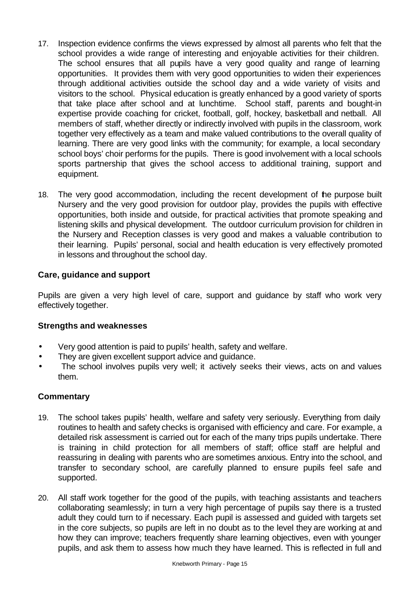- 17. Inspection evidence confirms the views expressed by almost all parents who felt that the school provides a wide range of interesting and enjoyable activities for their children. The school ensures that all pupils have a very good quality and range of learning opportunities.It provides them with very good opportunities to widen their experiences through additional activities outside the school day and a wide variety of visits and visitors to the school. Physical education is greatly enhanced by a good variety of sports that take place after school and at lunchtime. School staff, parents and bought-in expertise provide coaching for cricket, football, golf, hockey, basketball and netball. All members of staff, whether directly or indirectly involved with pupils in the classroom, work together very effectively as a team and make valued contributions to the overall quality of learning. There are very good links with the community; for example, a local secondary school boys' choir performs for the pupils. There is good involvement with a local schools sports partnership that gives the school access to additional training, support and equipment.
- 18. The very good accommodation, including the recent development of the purpose built Nursery and the very good provision for outdoor play, provides the pupils with effective opportunities, both inside and outside, for practical activities that promote speaking and listening skills and physical development. The outdoor curriculum provision for children in the Nursery and Reception classes is very good and makes a valuable contribution to their learning. Pupils' personal, social and health education is very effectively promoted in lessons and throughout the school day.

### **Care, guidance and support**

Pupils are given a very high level of care, support and guidance by staff who work very effectively together.

### **Strengths and weaknesses**

- Very good attention is paid to pupils' health, safety and welfare.
- They are given excellent support advice and guidance.
- The school involves pupils very well; it actively seeks their views, acts on and values them.

- 19. The school takes pupils' health, welfare and safety very seriously. Everything from daily routines to health and safety checks is organised with efficiency and care. For example, a detailed risk assessment is carried out for each of the many trips pupils undertake. There is training in child protection for all members of staff; office staff are helpful and reassuring in dealing with parents who are sometimes anxious. Entry into the school, and transfer to secondary school, are carefully planned to ensure pupils feel safe and supported.
- 20. All staff work together for the good of the pupils, with teaching assistants and teachers collaborating seamlessly; in turn a very high percentage of pupils say there is a trusted adult they could turn to if necessary. Each pupil is assessed and guided with targets set in the core subjects, so pupils are left in no doubt as to the level they are working at and how they can improve; teachers frequently share learning objectives, even with younger pupils, and ask them to assess how much they have learned. This is reflected in full and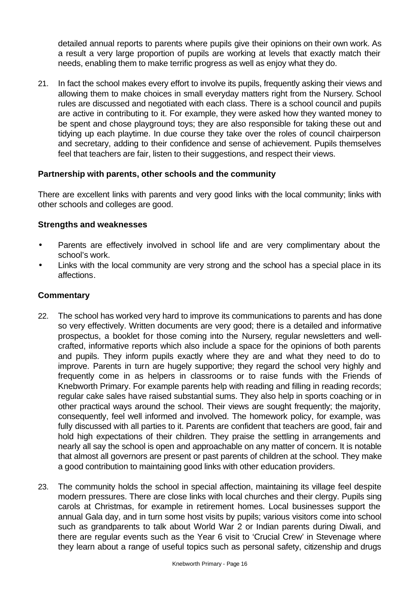detailed annual reports to parents where pupils give their opinions on their own work. As a result a very large proportion of pupils are working at levels that exactly match their needs, enabling them to make terrific progress as well as enjoy what they do.

21. In fact the school makes every effort to involve its pupils, frequently asking their views and allowing them to make choices in small everyday matters right from the Nursery. School rules are discussed and negotiated with each class. There is a school council and pupils are active in contributing to it. For example, they were asked how they wanted money to be spent and chose playground toys; they are also responsible for taking these out and tidying up each playtime. In due course they take over the roles of council chairperson and secretary, adding to their confidence and sense of achievement. Pupils themselves feel that teachers are fair, listen to their suggestions, and respect their views.

#### **Partnership with parents, other schools and the community**

There are excellent links with parents and very good links with the local community; links with other schools and colleges are good.

#### **Strengths and weaknesses**

- Parents are effectively involved in school life and are very complimentary about the school's work.
- Links with the local community are very strong and the school has a special place in its affections.

- 22. The school has worked very hard to improve its communications to parents and has done so very effectively. Written documents are very good; there is a detailed and informative prospectus, a booklet for those coming into the Nursery, regular newsletters and wellcrafted, informative reports which also include a space for the opinions of both parents and pupils. They inform pupils exactly where they are and what they need to do to improve. Parents in turn are hugely supportive; they regard the school very highly and frequently come in as helpers in classrooms or to raise funds with the Friends of Knebworth Primary. For example parents help with reading and filling in reading records; regular cake sales have raised substantial sums. They also help in sports coaching or in other practical ways around the school. Their views are sought frequently; the majority, consequently, feel well informed and involved. The homework policy, for example, was fully discussed with all parties to it. Parents are confident that teachers are good, fair and hold high expectations of their children. They praise the settling in arrangements and nearly all say the school is open and approachable on any matter of concern. It is notable that almost all governors are present or past parents of children at the school. They make a good contribution to maintaining good links with other education providers.
- 23. The community holds the school in special affection, maintaining its village feel despite modern pressures. There are close links with local churches and their clergy. Pupils sing carols at Christmas, for example in retirement homes. Local businesses support the annual Gala day, and in turn some host visits by pupils; various visitors come into school such as grandparents to talk about World War 2 or Indian parents during Diwali, and there are regular events such as the Year 6 visit to 'Crucial Crew' in Stevenage where they learn about a range of useful topics such as personal safety, citizenship and drugs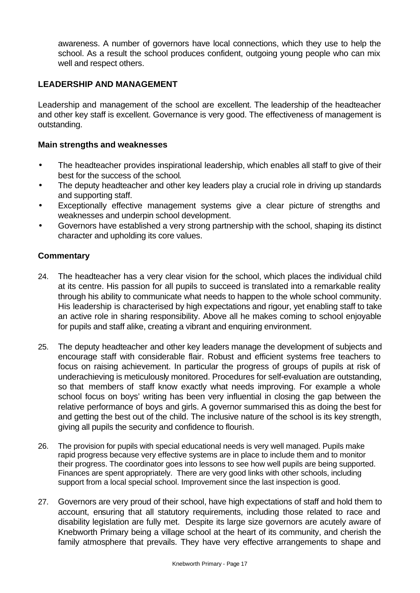awareness. A number of governors have local connections, which they use to help the school. As a result the school produces confident, outgoing young people who can mix well and respect others.

### **LEADERSHIP AND MANAGEMENT**

Leadership and management of the school are excellent. The leadership of the headteacher and other key staff is excellent. Governance is very good. The effectiveness of management is outstanding.

#### **Main strengths and weaknesses**

- The headteacher provides inspirational leadership, which enables all staff to give of their best for the success of the school.
- The deputy headteacher and other key leaders play a crucial role in driving up standards and supporting staff.
- Exceptionally effective management systems give a clear picture of strengths and weaknesses and underpin school development.
- Governors have established a very strong partnership with the school, shaping its distinct character and upholding its core values.

- 24. The headteacher has a very clear vision for the school, which places the individual child at its centre. His passion for all pupils to succeed is translated into a remarkable reality through his ability to communicate what needs to happen to the whole school community. His leadership is characterised by high expectations and rigour, yet enabling staff to take an active role in sharing responsibility. Above all he makes coming to school enjoyable for pupils and staff alike, creating a vibrant and enquiring environment.
- 25. The deputy headteacher and other key leaders manage the development of subjects and encourage staff with considerable flair. Robust and efficient systems free teachers to focus on raising achievement. In particular the progress of groups of pupils at risk of underachieving is meticulously monitored. Procedures for self-evaluation are outstanding, so that members of staff know exactly what needs improving. For example a whole school focus on boys' writing has been very influential in closing the gap between the relative performance of boys and girls. A governor summarised this as doing the best for and getting the best out of the child. The inclusive nature of the school is its key strength, giving all pupils the security and confidence to flourish.
- 26. The provision for pupils with special educational needs is very well managed. Pupils make rapid progress because very effective systems are in place to include them and to monitor their progress. The coordinator goes into lessons to see how well pupils are being supported. Finances are spent appropriately. There are very good links with other schools, including support from a local special school. Improvement since the last inspection is good.
- 27. Governors are very proud of their school, have high expectations of staff and hold them to account, ensuring that all statutory requirements, including those related to race and disability legislation are fully met. Despite its large size governors are acutely aware of Knebworth Primary being a village school at the heart of its community, and cherish the family atmosphere that prevails. They have very effective arrangements to shape and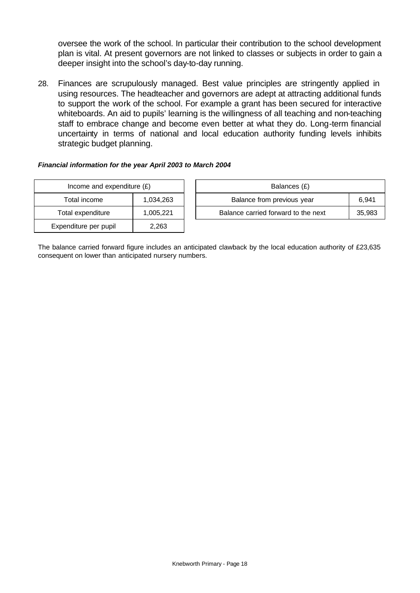oversee the work of the school. In particular their contribution to the school development plan is vital. At present governors are not linked to classes or subjects in order to gain a deeper insight into the school's day-to-day running.

28. Finances are scrupulously managed. Best value principles are stringently applied in using resources. The headteacher and governors are adept at attracting additional funds to support the work of the school. For example a grant has been secured for interactive whiteboards. An aid to pupils' learning is the willingness of all teaching and non-teaching staff to embrace change and become even better at what they do. Long-term financial uncertainty in terms of national and local education authority funding levels inhibits strategic budget planning.

#### *Financial information for the year April 2003 to March 2004*

| Income and expenditure $(E)$ |           |  | Balances (£)                   |
|------------------------------|-----------|--|--------------------------------|
| Total income<br>1,034,263    |           |  | Balance from previous yea      |
| Total expenditure            | 1,005,221 |  | Balance carried forward to the |
| Expenditure per pupil        | 2,263     |  |                                |

| Income and expenditure $(E)$ |           | Balances (£)                        |        |
|------------------------------|-----------|-------------------------------------|--------|
| Total income                 | 1.034.263 | Balance from previous year          | 6.941  |
| Total expenditure            | 1.005.221 | Balance carried forward to the next | 35,983 |

The balance carried forward figure includes an anticipated clawback by the local education authority of £23,635 consequent on lower than anticipated nursery numbers.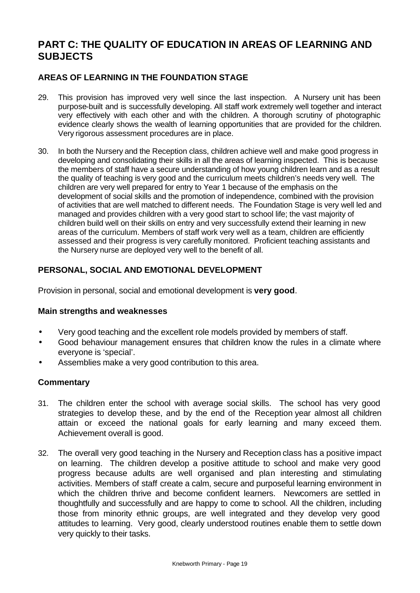# **PART C: THE QUALITY OF EDUCATION IN AREAS OF LEARNING AND SUBJECTS**

### **AREAS OF LEARNING IN THE FOUNDATION STAGE**

- 29. This provision has improved very well since the last inspection. A Nursery unit has been purpose-built and is successfully developing. All staff work extremely well together and interact very effectively with each other and with the children. A thorough scrutiny of photographic evidence clearly shows the wealth of learning opportunities that are provided for the children. Very rigorous assessment procedures are in place.
- 30. In both the Nursery and the Reception class, children achieve well and make good progress in developing and consolidating their skills in all the areas of learning inspected. This is because the members of staff have a secure understanding of how young children learn and as a result the quality of teaching is very good and the curriculum meets children's needs very well. The children are very well prepared for entry to Year 1 because of the emphasis on the development of social skills and the promotion of independence, combined with the provision of activities that are well matched to different needs. The Foundation Stage is very well led and managed and provides children with a very good start to school life; the vast majority of children build well on their skills on entry and very successfully extend their learning in new areas of the curriculum. Members of staff work very well as a team, children are efficiently assessed and their progress is very carefully monitored. Proficient teaching assistants and the Nursery nurse are deployed very well to the benefit of all.

### **PERSONAL, SOCIAL AND EMOTIONAL DEVELOPMENT**

Provision in personal, social and emotional development is **very good**.

### **Main strengths and weaknesses**

- Very good teaching and the excellent role models provided by members of staff.
- Good behaviour management ensures that children know the rules in a climate where everyone is 'special'.
- Assemblies make a very good contribution to this area.

- 31. The children enter the school with average social skills. The school has very good strategies to develop these, and by the end of the Reception year almost all children attain or exceed the national goals for early learning and many exceed them. Achievement overall is good.
- 32. The overall very good teaching in the Nursery and Reception class has a positive impact on learning. The children develop a positive attitude to school and make very good progress because adults are well organised and plan interesting and stimulating activities. Members of staff create a calm, secure and purposeful learning environment in which the children thrive and become confident learners. Newcomers are settled in thoughtfully and successfully and are happy to come to school. All the children, including those from minority ethnic groups, are well integrated and they develop very good attitudes to learning. Very good, clearly understood routines enable them to settle down very quickly to their tasks.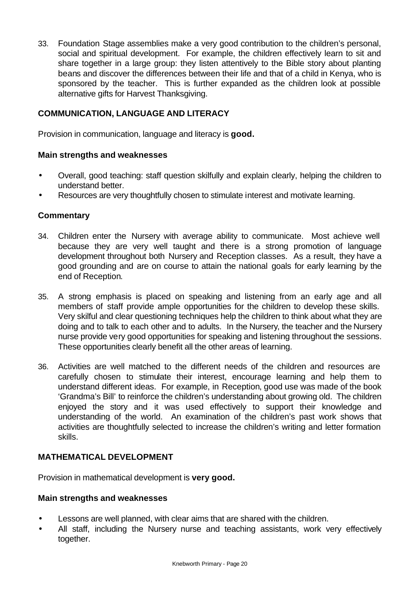33. Foundation Stage assemblies make a very good contribution to the children's personal, social and spiritual development. For example, the children effectively learn to sit and share together in a large group: they listen attentively to the Bible story about planting beans and discover the differences between their life and that of a child in Kenya, who is sponsored by the teacher. This is further expanded as the children look at possible alternative gifts for Harvest Thanksgiving.

### **COMMUNICATION, LANGUAGE AND LITERACY**

Provision in communication, language and literacy is **good.**

#### **Main strengths and weaknesses**

- Overall, good teaching: staff question skilfully and explain clearly, helping the children to understand better.
- Resources are very thoughtfully chosen to stimulate interest and motivate learning.

### **Commentary**

- 34. Children enter the Nursery with average ability to communicate. Most achieve well because they are very well taught and there is a strong promotion of language development throughout both Nursery and Reception classes. As a result, they have a good grounding and are on course to attain the national goals for early learning by the end of Reception.
- 35. A strong emphasis is placed on speaking and listening from an early age and all members of staff provide ample opportunities for the children to develop these skills. Very skilful and clear questioning techniques help the children to think about what they are doing and to talk to each other and to adults. In the Nursery, the teacher and the Nursery nurse provide very good opportunities for speaking and listening throughout the sessions. These opportunities clearly benefit all the other areas of learning.
- 36. Activities are well matched to the different needs of the children and resources are carefully chosen to stimulate their interest, encourage learning and help them to understand different ideas. For example, in Reception, good use was made of the book 'Grandma's Bill' to reinforce the children's understanding about growing old. The children enjoyed the story and it was used effectively to support their knowledge and understanding of the world. An examination of the children's past work shows that activities are thoughtfully selected to increase the children's writing and letter formation skills.

### **MATHEMATICAL DEVELOPMENT**

Provision in mathematical development is **very good.**

#### **Main strengths and weaknesses**

- Lessons are well planned, with clear aims that are shared with the children.
- All staff, including the Nursery nurse and teaching assistants, work very effectively together.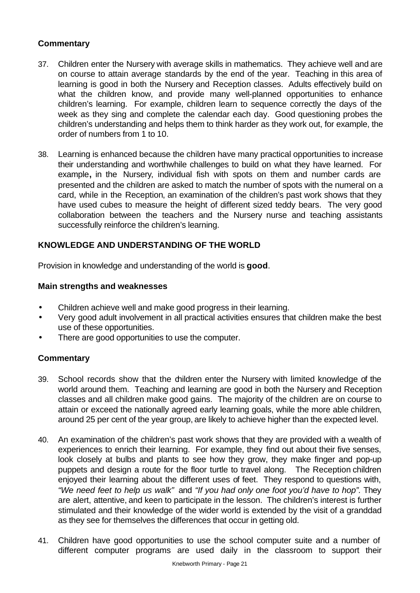### **Commentary**

- 37. Children enter the Nursery with average skills in mathematics. They achieve well and are on course to attain average standards by the end of the year. Teaching in this area of learning is good in both the Nursery and Reception classes. Adults effectively build on what the children know, and provide many well-planned opportunities to enhance children's learning. For example, children learn to sequence correctly the days of the week as they sing and complete the calendar each day. Good questioning probes the children's understanding and helps them to think harder as they work out, for example, the order of numbers from 1 to 10.
- 38. Learning is enhanced because the children have many practical opportunities to increase their understanding and worthwhile challenges to build on what they have learned. For example**,** in the Nursery, individual fish with spots on them and number cards are presented and the children are asked to match the number of spots with the numeral on a card, while in the Reception, an examination of the children's past work shows that they have used cubes to measure the height of different sized teddy bears. The very good collaboration between the teachers and the Nursery nurse and teaching assistants successfully reinforce the children's learning.

### **KNOWLEDGE AND UNDERSTANDING OF THE WORLD**

Provision in knowledge and understanding of the world is **good**.

#### **Main strengths and weaknesses**

- Children achieve well and make good progress in their learning.
- Very good adult involvement in all practical activities ensures that children make the best use of these opportunities.
- There are good opportunities to use the computer.

- 39. School records show that the children enter the Nursery with limited knowledge of the world around them. Teaching and learning are good in both the Nursery and Reception classes and all children make good gains. The majority of the children are on course to attain or exceed the nationally agreed early learning goals, while the more able children, around 25 per cent of the year group, are likely to achieve higher than the expected level.
- 40. An examination of the children's past work shows that they are provided with a wealth of experiences to enrich their learning. For example, they find out about their five senses, look closely at bulbs and plants to see how they grow, they make finger and pop-up puppets and design a route for the floor turtle to travel along. The Reception children enjoyed their learning about the different uses of feet. They respond to questions with, *"We need feet to help us walk"* and *"If you had only one foot you'd have to hop".* They are alert, attentive, and keen to participate in the lesson. The children's interest is further stimulated and their knowledge of the wider world is extended by the visit of a granddad as they see for themselves the differences that occur in getting old.
- 41. Children have good opportunities to use the school computer suite and a number of different computer programs are used daily in the classroom to support their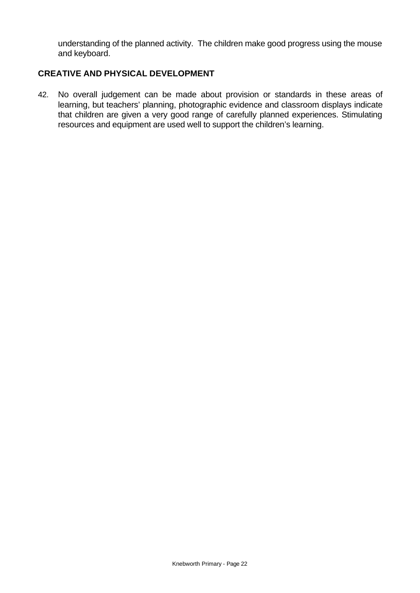understanding of the planned activity. The children make good progress using the mouse and keyboard.

#### **CREATIVE AND PHYSICAL DEVELOPMENT**

42. No overall judgement can be made about provision or standards in these areas of learning, but teachers' planning, photographic evidence and classroom displays indicate that children are given a very good range of carefully planned experiences. Stimulating resources and equipment are used well to support the children's learning.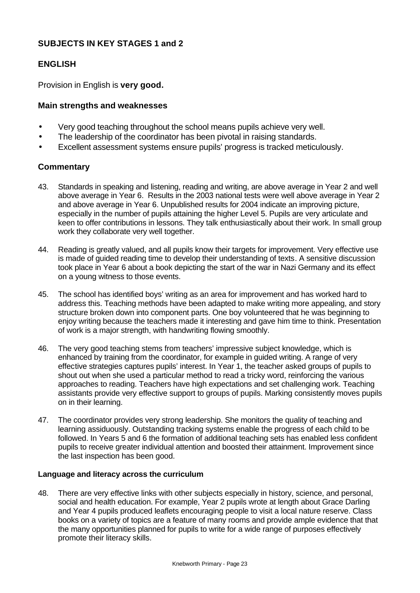### **SUBJECTS IN KEY STAGES 1 and 2**

### **ENGLISH**

Provision in English is **very good.**

#### **Main strengths and weaknesses**

- Very good teaching throughout the school means pupils achieve very well.
- The leadership of the coordinator has been pivotal in raising standards.
- Excellent assessment systems ensure pupils' progress is tracked meticulously.

### **Commentary**

- 43. Standards in speaking and listening, reading and writing, are above average in Year 2 and well above average in Year 6. Results in the 2003 national tests were well above average in Year 2 and above average in Year 6. Unpublished results for 2004 indicate an improving picture, especially in the number of pupils attaining the higher Level 5. Pupils are very articulate and keen to offer contributions in lessons. They talk enthusiastically about their work. In small group work they collaborate very well together.
- 44. Reading is greatly valued, and all pupils know their targets for improvement. Very effective use is made of guided reading time to develop their understanding of texts. A sensitive discussion took place in Year 6 about a book depicting the start of the war in Nazi Germany and its effect on a young witness to those events.
- 45. The school has identified boys' writing as an area for improvement and has worked hard to address this. Teaching methods have been adapted to make writing more appealing, and story structure broken down into component parts. One boy volunteered that he was beginning to enjoy writing because the teachers made it interesting and gave him time to think. Presentation of work is a major strength, with handwriting flowing smoothly.
- 46. The very good teaching stems from teachers' impressive subject knowledge, which is enhanced by training from the coordinator, for example in guided writing. A range of very effective strategies captures pupils' interest. In Year 1, the teacher asked groups of pupils to shout out when she used a particular method to read a tricky word, reinforcing the various approaches to reading. Teachers have high expectations and set challenging work. Teaching assistants provide very effective support to groups of pupils. Marking consistently moves pupils on in their learning.
- 47. The coordinator provides very strong leadership. She monitors the quality of teaching and learning assiduously. Outstanding tracking systems enable the progress of each child to be followed. In Years 5 and 6 the formation of additional teaching sets has enabled less confident pupils to receive greater individual attention and boosted their attainment. Improvement since the last inspection has been good.

#### **Language and literacy across the curriculum**

48. There are very effective links with other subjects especially in history, science, and personal, social and health education. For example, Year 2 pupils wrote at length about Grace Darling and Year 4 pupils produced leaflets encouraging people to visit a local nature reserve. Class books on a variety of topics are a feature of many rooms and provide ample evidence that that the many opportunities planned for pupils to write for a wide range of purposes effectively promote their literacy skills.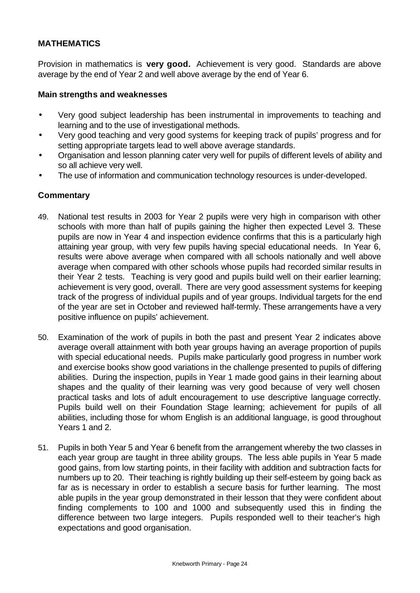### **MATHEMATICS**

Provision in mathematics is **very good.** Achievement is very good. Standards are above average by the end of Year 2 and well above average by the end of Year 6.

#### **Main strengths and weaknesses**

- Very good subject leadership has been instrumental in improvements to teaching and learning and to the use of investigational methods.
- Very good teaching and very good systems for keeping track of pupils' progress and for setting appropriate targets lead to well above average standards.
- Organisation and lesson planning cater very well for pupils of different levels of ability and so all achieve very well.
- The use of information and communication technology resources is under-developed.

- 49. National test results in 2003 for Year 2 pupils were very high in comparison with other schools with more than half of pupils gaining the higher then expected Level 3. These pupils are now in Year 4 and inspection evidence confirms that this is a particularly high attaining year group, with very few pupils having special educational needs. In Year 6, results were above average when compared with all schools nationally and well above average when compared with other schools whose pupils had recorded similar results in their Year 2 tests.Teaching is very good and pupils build well on their earlier learning; achievement is very good, overall. There are very good assessment systems for keeping track of the progress of individual pupils and of year groups. Individual targets for the end of the year are set in October and reviewed half-termly. These arrangements have a very positive influence on pupils' achievement.
- 50. Examination of the work of pupils in both the past and present Year 2 indicates above average overall attainment with both year groups having an average proportion of pupils with special educational needs. Pupils make particularly good progress in number work and exercise books show good variations in the challenge presented to pupils of differing abilities. During the inspection, pupils in Year 1 made good gains in their learning about shapes and the quality of their learning was very good because of very well chosen practical tasks and lots of adult encouragement to use descriptive language correctly. Pupils build well on their Foundation Stage learning; achievement for pupils of all abilities, including those for whom English is an additional language, is good throughout Years 1 and 2.
- 51. Pupils in both Year 5 and Year 6 benefit from the arrangement whereby the two classes in each year group are taught in three ability groups. The less able pupils in Year 5 made good gains, from low starting points, in their facility with addition and subtraction facts for numbers up to 20. Their teaching is rightly building up their self-esteem by going back as far as is necessary in order to establish a secure basis for further learning. The most able pupils in the year group demonstrated in their lesson that they were confident about finding complements to 100 and 1000 and subsequently used this in finding the difference between two large integers. Pupils responded well to their teacher's high expectations and good organisation.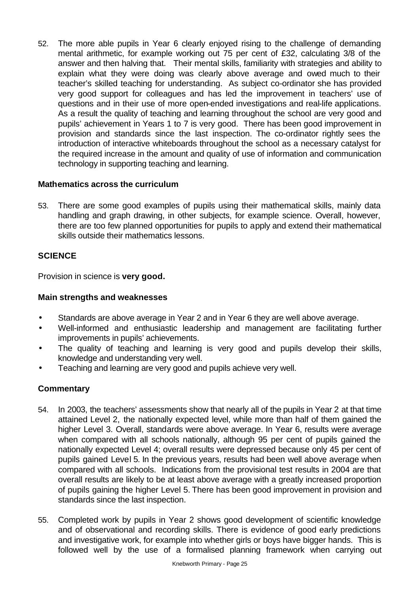52. The more able pupils in Year 6 clearly enjoyed rising to the challenge of demanding mental arithmetic, for example working out 75 per cent of £32, calculating 3/8 of the answer and then halving that. Their mental skills, familiarity with strategies and ability to explain what they were doing was clearly above average and owed much to their teacher's skilled teaching for understanding. As subject co-ordinator she has provided very good support for colleagues and has led the improvement in teachers' use of questions and in their use of more open-ended investigations and real-life applications. As a result the quality of teaching and learning throughout the school are very good and pupils' achievement in Years 1 to 7 is very good. There has been good improvement in provision and standards since the last inspection. The co-ordinator rightly sees the introduction of interactive whiteboards throughout the school as a necessary catalyst for the required increase in the amount and quality of use of information and communication technology in supporting teaching and learning.

### **Mathematics across the curriculum**

53. There are some good examples of pupils using their mathematical skills, mainly data handling and graph drawing, in other subjects, for example science. Overall, however, there are too few planned opportunities for pupils to apply and extend their mathematical skills outside their mathematics lessons.

# **SCIENCE**

Provision in science is **very good.**

## **Main strengths and weaknesses**

- Standards are above average in Year 2 and in Year 6 they are well above average.
- Well-informed and enthusiastic leadership and management are facilitating further improvements in pupils' achievements.
- The quality of teaching and learning is very good and pupils develop their skills, knowledge and understanding very well.
- Teaching and learning are very good and pupils achieve very well.

- 54. In 2003, the teachers' assessments show that nearly all of the pupils in Year 2 at that time attained Level 2, the nationally expected level, while more than half of them gained the higher Level 3. Overall, standards were above average. In Year 6, results were average when compared with all schools nationally, although 95 per cent of pupils gained the nationally expected Level 4; overall results were depressed because only 45 per cent of pupils gained Level 5. In the previous years, results had been well above average when compared with all schools. Indications from the provisional test results in 2004 are that overall results are likely to be at least above average with a greatly increased proportion of pupils gaining the higher Level 5. There has been good improvement in provision and standards since the last inspection.
- 55. Completed work by pupils in Year 2 shows good development of scientific knowledge and of observational and recording skills. There is evidence of good early predictions and investigative work, for example into whether girls or boys have bigger hands. This is followed well by the use of a formalised planning framework when carrying out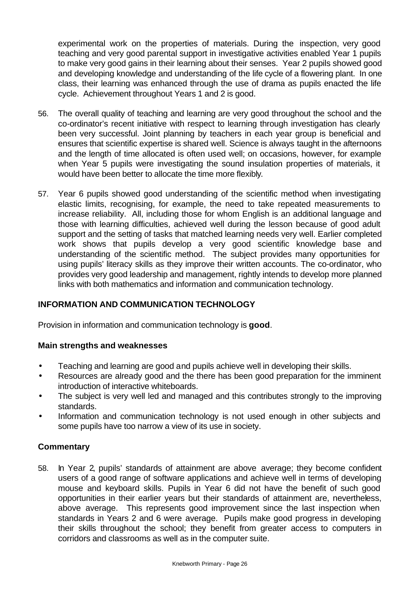experimental work on the properties of materials. During the inspection, very good teaching and very good parental support in investigative activities enabled Year 1 pupils to make very good gains in their learning about their senses. Year 2 pupils showed good and developing knowledge and understanding of the life cycle of a flowering plant. In one class, their learning was enhanced through the use of drama as pupils enacted the life cycle. Achievement throughout Years 1 and 2 is good.

- 56. The overall quality of teaching and learning are very good throughout the school and the co-ordinator's recent initiative with respect to learning through investigation has clearly been very successful. Joint planning by teachers in each year group is beneficial and ensures that scientific expertise is shared well. Science is always taught in the afternoons and the length of time allocated is often used well; on occasions, however, for example when Year 5 pupils were investigating the sound insulation properties of materials, it would have been better to allocate the time more flexibly.
- 57. Year 6 pupils showed good understanding of the scientific method when investigating elastic limits, recognising, for example, the need to take repeated measurements to increase reliability. All, including those for whom English is an additional language and those with learning difficulties, achieved well during the lesson because of good adult support and the setting of tasks that matched learning needs very well. Earlier completed work shows that pupils develop a very good scientific knowledge base and understanding of the scientific method. The subject provides many opportunities for using pupils' literacy skills as they improve their written accounts. The co-ordinator, who provides very good leadership and management, rightly intends to develop more planned links with both mathematics and information and communication technology.

### **INFORMATION AND COMMUNICATION TECHNOLOGY**

Provision in information and communication technology is **good**.

### **Main strengths and weaknesses**

- Teaching and learning are good and pupils achieve well in developing their skills.
- Resources are already good and the there has been good preparation for the imminent introduction of interactive whiteboards.
- The subject is very well led and managed and this contributes strongly to the improving standards.
- Information and communication technology is not used enough in other subjects and some pupils have too narrow a view of its use in society.

### **Commentary**

58. In Year 2, pupils' standards of attainment are above average; they become confident users of a good range of software applications and achieve well in terms of developing mouse and keyboard skills. Pupils in Year 6 did not have the benefit of such good opportunities in their earlier years but their standards of attainment are, nevertheless, above average. This represents good improvement since the last inspection when standards in Years 2 and 6 were average. Pupils make good progress in developing their skills throughout the school; they benefit from greater access to computers in corridors and classrooms as well as in the computer suite.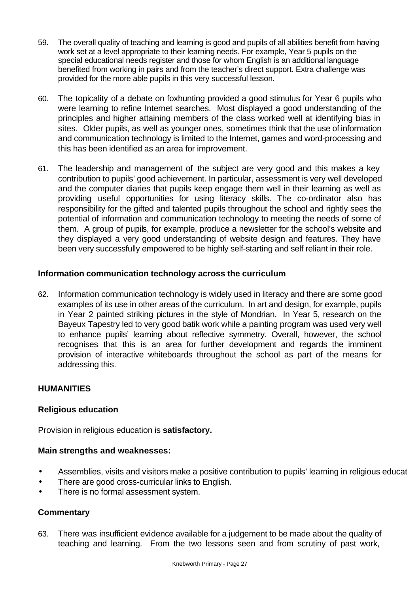- 59. The overall quality of teaching and learning is good and pupils of all abilities benefit from having work set at a level appropriate to their learning needs. For example, Year 5 pupils on the special educational needs register and those for whom English is an additional language benefited from working in pairs and from the teacher's direct support. Extra challenge was provided for the more able pupils in this very successful lesson.
- 60. The topicality of a debate on foxhunting provided a good stimulus for Year 6 pupils who were learning to refine Internet searches. Most displayed a good understanding of the principles and higher attaining members of the class worked well at identifying bias in sites. Older pupils, as well as younger ones, sometimes think that the use of information and communication technology is limited to the Internet, games and word-processing and this has been identified as an area for improvement.
- 61. The leadership and management of the subject are very good and this makes a key contribution to pupils' good achievement. In particular, assessment is very well developed and the computer diaries that pupils keep engage them well in their learning as well as providing useful opportunities for using literacy skills. The co-ordinator also has responsibility for the gifted and talented pupils throughout the school and rightly sees the potential of information and communication technology to meeting the needs of some of them. A group of pupils, for example, produce a newsletter for the school's website and they displayed a very good understanding of website design and features. They have been very successfully empowered to be highly self-starting and self reliant in their role.

### **Information communication technology across the curriculum**

62. Information communication technology is widely used in literacy and there are some good examples of its use in other areas of the curriculum. In art and design, for example, pupils in Year 2 painted striking pictures in the style of Mondrian. In Year 5, research on the Bayeux Tapestry led to very good batik work while a painting program was used very well to enhance pupils' learning about reflective symmetry. Overall, however, the school recognises that this is an area for further development and regards the imminent provision of interactive whiteboards throughout the school as part of the means for addressing this.

### **HUMANITIES**

### **Religious education**

Provision in religious education is **satisfactory.**

### **Main strengths and weaknesses:**

- Assemblies, visits and visitors make a positive contribution to pupils' learning in religious educat
- There are good cross-curricular links to English.
- There is no formal assessment system.

### **Commentary**

63. There was insufficient evidence available for a judgement to be made about the quality of teaching and learning. From the two lessons seen and from scrutiny of past work,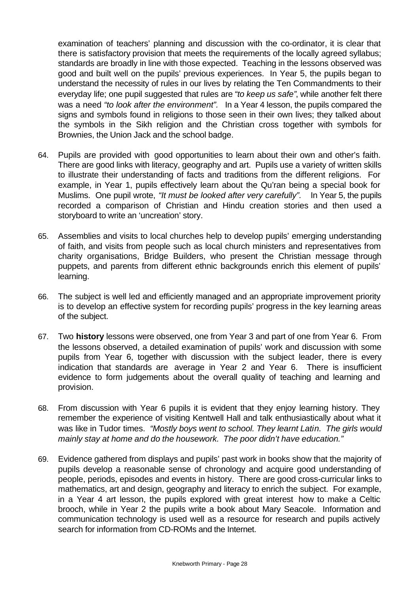examination of teachers' planning and discussion with the co-ordinator, it is clear that there is satisfactory provision that meets the requirements of the locally agreed syllabus; standards are broadly in line with those expected. Teaching in the lessons observed was good and built well on the pupils' previous experiences. In Year 5, the pupils began to understand the necessity of rules in our lives by relating the Ten Commandments to their everyday life; one pupil suggested that rules are *"to keep us safe"*, while another felt there was a need *"to look after the environment".* In a Year 4 lesson, the pupils compared the signs and symbols found in religions to those seen in their own lives; they talked about the symbols in the Sikh religion and the Christian cross together with symbols for Brownies, the Union Jack and the school badge.

- 64. Pupils are provided with good opportunities to learn about their own and other's faith. There are good links with literacy, geography and art. Pupils use a variety of written skills to illustrate their understanding of facts and traditions from the different religions. For example, in Year 1, pupils effectively learn about the Qu'ran being a special book for Muslims. One pupil wrote, *"It must be looked after very carefully".* In Year 5, the pupils recorded a comparison of Christian and Hindu creation stories and then used a storyboard to write an 'uncreation' story.
- 65. Assemblies and visits to local churches help to develop pupils' emerging understanding of faith, and visits from people such as local church ministers and representatives from charity organisations, Bridge Builders, who present the Christian message through puppets, and parents from different ethnic backgrounds enrich this element of pupils' learning.
- 66. The subject is well led and efficiently managed and an appropriate improvement priority is to develop an effective system for recording pupils' progress in the key learning areas of the subject.
- 67. Two **history** lessons were observed, one from Year 3 and part of one from Year 6. From the lessons observed, a detailed examination of pupils' work and discussion with some pupils from Year 6, together with discussion with the subject leader, there is every indication that standards are average in Year 2 and Year 6. There is insufficient evidence to form judgements about the overall quality of teaching and learning and provision.
- 68. From discussion with Year 6 pupils it is evident that they enjoy learning history. They remember the experience of visiting Kentwell Hall and talk enthusiastically about what it was like in Tudor times. *"Mostly boys went to school. They learnt Latin. The girls would mainly stay at home and do the housework. The poor didn't have education."*
- 69. Evidence gathered from displays and pupils' past work in books show that the majority of pupils develop a reasonable sense of chronology and acquire good understanding of people, periods, episodes and events in history. There are good cross-curricular links to mathematics, art and design, geography and literacy to enrich the subject. For example, in a Year 4 art lesson, the pupils explored with great interest how to make a Celtic brooch, while in Year 2 the pupils write a book about Mary Seacole. Information and communication technology is used well as a resource for research and pupils actively search for information from CD-ROMs and the Internet.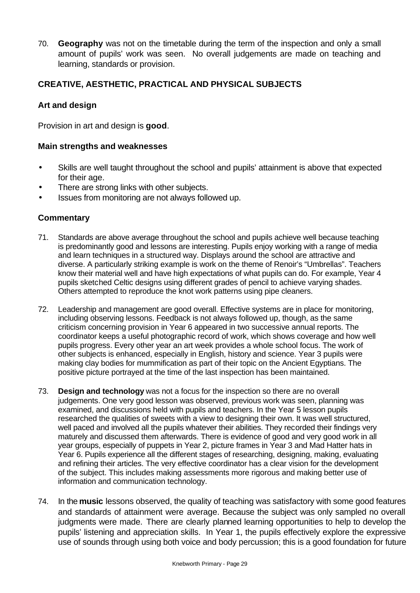70. **Geography** was not on the timetable during the term of the inspection and only a small amount of pupils' work was seen. No overall judgements are made on teaching and learning, standards or provision.

### **CREATIVE, AESTHETIC, PRACTICAL AND PHYSICAL SUBJECTS**

### **Art and design**

Provision in art and design is **good**.

#### **Main strengths and weaknesses**

- Skills are well taught throughout the school and pupils' attainment is above that expected for their age.
- There are strong links with other subjects.
- Issues from monitoring are not always followed up.

- 71. Standards are above average throughout the school and pupils achieve well because teaching is predominantly good and lessons are interesting. Pupils enjoy working with a range of media and learn techniques in a structured way. Displays around the school are attractive and diverse. A particularly striking example is work on the theme of Renoir's "Umbrellas". Teachers know their material well and have high expectations of what pupils can do. For example, Year 4 pupils sketched Celtic designs using different grades of pencil to achieve varying shades. Others attempted to reproduce the knot work patterns using pipe cleaners.
- 72. Leadership and management are good overall. Effective systems are in place for monitoring, including observing lessons. Feedback is not always followed up, though, as the same criticism concerning provision in Year 6 appeared in two successive annual reports. The coordinator keeps a useful photographic record of work, which shows coverage and how well pupils progress. Every other year an art week provides a whole school focus. The work of other subjects is enhanced, especially in English, history and science. Year 3 pupils were making clay bodies for mummification as part of their topic on the Ancient Egyptians. The positive picture portrayed at the time of the last inspection has been maintained.
- 73. **Design and technology** was not a focus for the inspection so there are no overall judgements. One very good lesson was observed, previous work was seen, planning was examined, and discussions held with pupils and teachers. In the Year 5 lesson pupils researched the qualities of sweets with a view to designing their own. It was well structured, well paced and involved all the pupils whatever their abilities. They recorded their findings very maturely and discussed them afterwards. There is evidence of good and very good work in all year groups, especially of puppets in Year 2, picture frames in Year 3 and Mad Hatter hats in Year 6. Pupils experience all the different stages of researching, designing, making, evaluating and refining their articles. The very effective coordinator has a clear vision for the development of the subject. This includes making assessments more rigorous and making better use of information and communication technology.
- 74. In the **music** lessons observed, the quality of teaching was satisfactory with some good features and standards of attainment were average. Because the subject was only sampled no overall judgments were made. There are clearly planned learning opportunities to help to develop the pupils' listening and appreciation skills. In Year 1, the pupils effectively explore the expressive use of sounds through using both voice and body percussion; this is a good foundation for future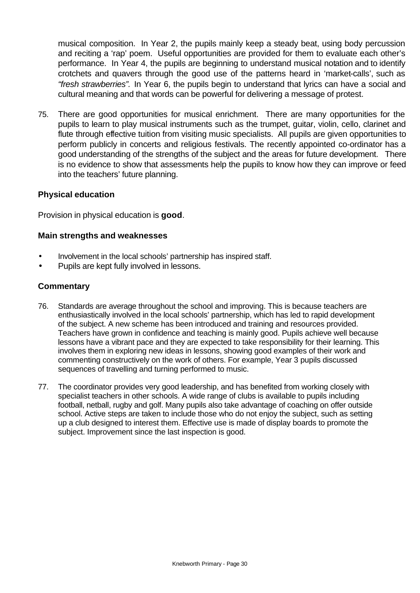musical composition. In Year 2, the pupils mainly keep a steady beat, using body percussion and reciting a 'rap' poem. Useful opportunities are provided for them to evaluate each other's performance. In Year 4, the pupils are beginning to understand musical notation and to identify crotchets and quavers through the good use of the patterns heard in 'market-calls', such as *"fresh strawberries".* In Year 6, the pupils begin to understand that lyrics can have a social and cultural meaning and that words can be powerful for delivering a message of protest.

75. There are good opportunities for musical enrichment. There are many opportunities for the pupils to learn to play musical instruments such as the trumpet, guitar, violin, cello, clarinet and flute through effective tuition from visiting music specialists. All pupils are given opportunities to perform publicly in concerts and religious festivals. The recently appointed co-ordinator has a good understanding of the strengths of the subject and the areas for future development. There is no evidence to show that assessments help the pupils to know how they can improve or feed into the teachers' future planning.

### **Physical education**

Provision in physical education is **good**.

#### **Main strengths and weaknesses**

- Involvement in the local schools' partnership has inspired staff.
- Pupils are kept fully involved in lessons.

- 76. Standards are average throughout the school and improving. This is because teachers are enthusiastically involved in the local schools' partnership, which has led to rapid development of the subject. A new scheme has been introduced and training and resources provided. Teachers have grown in confidence and teaching is mainly good. Pupils achieve well because lessons have a vibrant pace and they are expected to take responsibility for their learning. This involves them in exploring new ideas in lessons, showing good examples of their work and commenting constructively on the work of others. For example, Year 3 pupils discussed sequences of travelling and turning performed to music.
- 77. The coordinator provides very good leadership, and has benefited from working closely with specialist teachers in other schools. A wide range of clubs is available to pupils including football, netball, rugby and golf. Many pupils also take advantage of coaching on offer outside school. Active steps are taken to include those who do not enjoy the subject, such as setting up a club designed to interest them. Effective use is made of display boards to promote the subject. Improvement since the last inspection is good.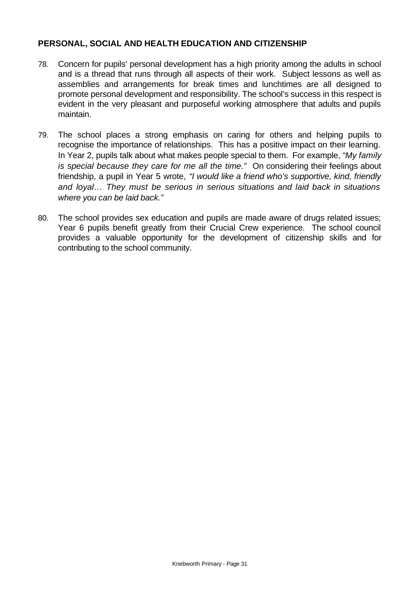### **PERSONAL, SOCIAL AND HEALTH EDUCATION AND CITIZENSHIP**

- 78. Concern for pupils' personal development has a high priority among the adults in school and is a thread that runs through all aspects of their work.Subject lessons as well as assemblies and arrangements for break times and lunchtimes are all designed to promote personal development and responsibility. The school's success in this respect is evident in the very pleasant and purposeful working atmosphere that adults and pupils maintain.
- 79. The school places a strong emphasis on caring for others and helping pupils to recognise the importance of relationships. This has a positive impact on their learning. In Year 2, pupils talk about what makes people special to them. For example, *"My family is special because they care for me all the time."* On considering their feelings about friendship, a pupil in Year 5 wrote, *"I would like a friend who's supportive, kind, friendly and loyal… They must be serious in serious situations and laid back in situations where you can be laid back."*
- 80. The school provides sex education and pupils are made aware of drugs related issues; Year 6 pupils benefit greatly from their Crucial Crew experience.The school council provides a valuable opportunity for the development of citizenship skills and for contributing to the school community.